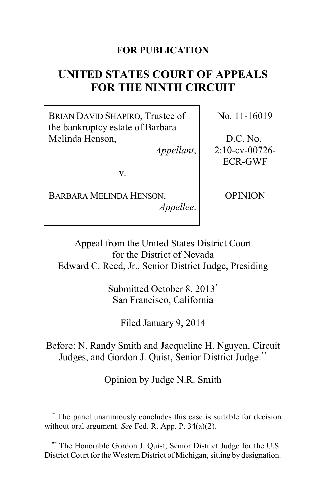# **FOR PUBLICATION**

# **UNITED STATES COURT OF APPEALS FOR THE NINTH CIRCUIT**

BRIAN DAVID SHAPIRO, Trustee of the bankruptcy estate of Barbara Melinda Henson,

*Appellant*,

v.

BARBARA MELINDA HENSON, *Appellee*. No. 11-16019

D.C. No. 2:10-cv-00726- ECR-GWF

OPINION

Appeal from the United States District Court for the District of Nevada Edward C. Reed, Jr., Senior District Judge, Presiding

> Submitted October 8, 2013**\*** San Francisco, California

> > Filed January 9, 2014

Before: N. Randy Smith and Jacqueline H. Nguyen, Circuit Judges, and Gordon J. Quist, Senior District Judge.**\*\***

Opinion by Judge N.R. Smith

**<sup>\*</sup>** The panel unanimously concludes this case is suitable for decision without oral argument. *See* Fed. R. App. P. 34(a)(2).

**<sup>\*\*</sup>** The Honorable Gordon J. Quist, Senior District Judge for the U.S. District Court for the Western District of Michigan, sitting by designation.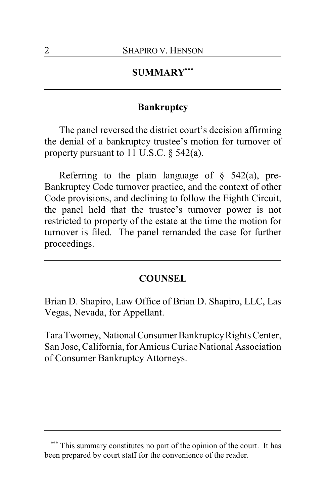# **SUMMARY\*\*\***

### **Bankruptcy**

The panel reversed the district court's decision affirming the denial of a bankruptcy trustee's motion for turnover of property pursuant to 11 U.S.C. § 542(a).

Referring to the plain language of  $\S$  542(a), pre-Bankruptcy Code turnover practice, and the context of other Code provisions, and declining to follow the Eighth Circuit, the panel held that the trustee's turnover power is not restricted to property of the estate at the time the motion for turnover is filed. The panel remanded the case for further proceedings.

#### **COUNSEL**

Brian D. Shapiro, Law Office of Brian D. Shapiro, LLC, Las Vegas, Nevada, for Appellant.

Tara Twomey, National Consumer Bankruptcy Rights Center, San Jose, California, for Amicus Curiae National Association of Consumer Bankruptcy Attorneys.

This summary constitutes no part of the opinion of the court. It has been prepared by court staff for the convenience of the reader.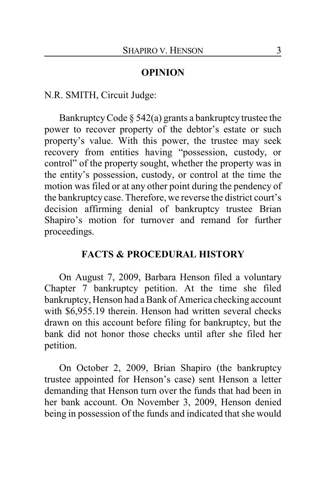#### **OPINION**

N.R. SMITH, Circuit Judge:

Bankruptcy Code  $\S$  542(a) grants a bankruptcy trustee the power to recover property of the debtor's estate or such property's value. With this power, the trustee may seek recovery from entities having "possession, custody, or control" of the property sought, whether the property was in the entity's possession, custody, or control at the time the motion was filed or at any other point during the pendency of the bankruptcy case. Therefore, we reverse the district court's decision affirming denial of bankruptcy trustee Brian Shapiro's motion for turnover and remand for further proceedings.

# **FACTS & PROCEDURAL HISTORY**

On August 7, 2009, Barbara Henson filed a voluntary Chapter 7 bankruptcy petition. At the time she filed bankruptcy, Henson had a Bank of America checking account with \$6,955.19 therein. Henson had written several checks drawn on this account before filing for bankruptcy, but the bank did not honor those checks until after she filed her petition.

On October 2, 2009, Brian Shapiro (the bankruptcy trustee appointed for Henson's case) sent Henson a letter demanding that Henson turn over the funds that had been in her bank account. On November 3, 2009, Henson denied being in possession of the funds and indicated that she would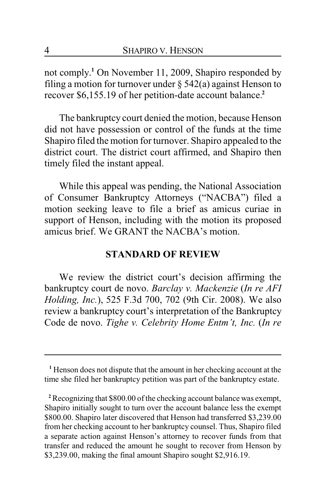not comply. **<sup>1</sup>** On November 11, 2009, Shapiro responded by filing a motion for turnover under  $\S$  542(a) against Henson to recover \$6,155.19 of her petition-date account balance.**<sup>2</sup>**

The bankruptcy court denied the motion, because Henson did not have possession or control of the funds at the time Shapiro filed the motion for turnover. Shapiro appealed to the district court. The district court affirmed, and Shapiro then timely filed the instant appeal.

While this appeal was pending, the National Association of Consumer Bankruptcy Attorneys ("NACBA") filed a motion seeking leave to file a brief as amicus curiae in support of Henson, including with the motion its proposed amicus brief. We GRANT the NACBA's motion.

### **STANDARD OF REVIEW**

We review the district court's decision affirming the bankruptcy court de novo. *Barclay v. Mackenzie* (*In re AFI Holding, Inc.*), 525 F.3d 700, 702 (9th Cir. 2008). We also review a bankruptcy court's interpretation of the Bankruptcy Code de novo. *Tighe v. Celebrity Home Entm't, Inc.* (*In re*

**<sup>1</sup>** Henson does not dispute that the amount in her checking account at the time she filed her bankruptcy petition was part of the bankruptcy estate.

**<sup>2</sup>** Recognizing that \$800.00 of the checking account balance was exempt, Shapiro initially sought to turn over the account balance less the exempt \$800.00. Shapiro later discovered that Henson had transferred \$3,239.00 from her checking account to her bankruptcy counsel. Thus, Shapiro filed a separate action against Henson's attorney to recover funds from that transfer and reduced the amount he sought to recover from Henson by \$3,239.00, making the final amount Shapiro sought \$2,916.19.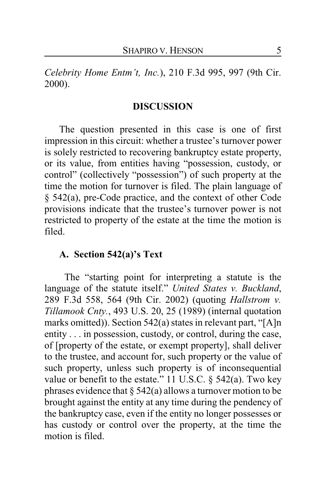*Celebrity Home Entm't, Inc.*), 210 F.3d 995, 997 (9th Cir. 2000).

#### **DISCUSSION**

The question presented in this case is one of first impression in this circuit: whether a trustee's turnover power is solely restricted to recovering bankruptcy estate property, or its value, from entities having "possession, custody, or control" (collectively "possession") of such property at the time the motion for turnover is filed. The plain language of § 542(a), pre-Code practice, and the context of other Code provisions indicate that the trustee's turnover power is not restricted to property of the estate at the time the motion is filed.

# **A. Section 542(a)'s Text**

The "starting point for interpreting a statute is the language of the statute itself." *United States v. Buckland*, 289 F.3d 558, 564 (9th Cir. 2002) (quoting *Hallstrom v. Tillamook Cnty.*, 493 U.S. 20, 25 (1989) (internal quotation marks omitted)). Section 542(a) states in relevant part, "[A]n entity . . . in possession, custody, or control, during the case, of [property of the estate, or exempt property], shall deliver to the trustee, and account for, such property or the value of such property, unless such property is of inconsequential value or benefit to the estate." 11 U.S.C. § 542(a). Two key phrases evidence that  $\S$  542(a) allows a turnover motion to be brought against the entity at any time during the pendency of the bankruptcy case, even if the entity no longer possesses or has custody or control over the property, at the time the motion is filed.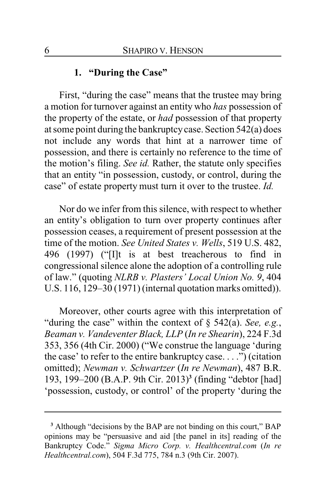# **1. "During the Case"**

First, "during the case" means that the trustee may bring a motion for turnover against an entity who *has* possession of the property of the estate, or *had* possession of that property at some point during the bankruptcycase. Section 542(a) does not include any words that hint at a narrower time of possession, and there is certainly no reference to the time of the motion's filing. *See id.* Rather, the statute only specifies that an entity "in possession, custody, or control, during the case" of estate property must turn it over to the trustee. *Id.*

Nor do we infer from this silence, with respect to whether an entity's obligation to turn over property continues after possession ceases, a requirement of present possession at the time of the motion. *See United States v. Wells*, 519 U.S. 482, 496 (1997) ("[I]t is at best treacherous to find in congressional silence alone the adoption of a controlling rule of law." (quoting *NLRB v. Plasters' Local Union No. 9*, 404 U.S. 116, 129–30 (1971) (internal quotation marks omitted)).

Moreover, other courts agree with this interpretation of "during the case" within the context of § 542(a). *See, e.g.*, *Beaman v. Vandeventer Black, LLP* (*In re Shearin*), 224 F.3d 353, 356 (4th Cir. 2000) ("We construe the language 'during the case' to refer to the entire bankruptcy case. . . .") (citation omitted); *Newman v. Schwartzer* (*In re Newman*), 487 B.R. 193, 199–200 (B.A.P. 9th Cir. 2013)**<sup>3</sup>** (finding "debtor [had] 'possession, custody, or control' of the property 'during the

**<sup>3</sup>** Although "decisions by the BAP are not binding on this court," BAP opinions may be "persuasive and aid [the panel in its] reading of the Bankruptcy Code." *Sigma Micro Corp. v. Healthcentral.com* (*In re Healthcentral.com*), 504 F.3d 775, 784 n.3 (9th Cir. 2007).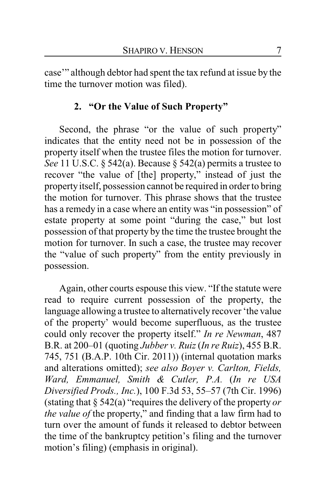case'" although debtor had spent the tax refund at issue by the time the turnover motion was filed).

# **2. "Or the Value of Such Property"**

Second, the phrase "or the value of such property" indicates that the entity need not be in possession of the property itself when the trustee files the motion for turnover. *See* 11 U.S.C. § 542(a). Because § 542(a) permits a trustee to recover "the value of [the] property," instead of just the propertyitself, possession cannot be required in order to bring the motion for turnover. This phrase shows that the trustee has a remedy in a case where an entity was "in possession" of estate property at some point "during the case," but lost possession of that property by the time the trustee brought the motion for turnover. In such a case, the trustee may recover the "value of such property" from the entity previously in possession.

Again, other courts espouse this view. "If the statute were read to require current possession of the property, the language allowing a trustee to alternatively recover 'the value of the property' would become superfluous, as the trustee could only recover the property itself." *In re Newman*, 487 B.R. at 200–01 (quoting *Jubber v. Ruiz*(*In re Ruiz*), 455 B.R. 745, 751 (B.A.P. 10th Cir. 2011)) (internal quotation marks and alterations omitted); *see also Boyer v. Carlton, Fields, Ward, Emmanuel, Smith & Cutler, P.A.* (*In re USA Diversified Prods., Inc.*), 100 F.3d 53, 55–57 (7th Cir. 1996) (stating that § 542(a) "requires the delivery of the property *or the value of* the property," and finding that a law firm had to turn over the amount of funds it released to debtor between the time of the bankruptcy petition's filing and the turnover motion's filing) (emphasis in original).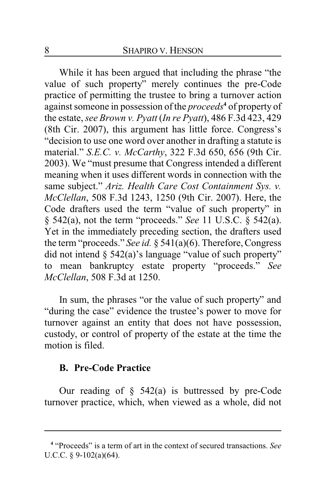While it has been argued that including the phrase "the value of such property" merely continues the pre-Code practice of permitting the trustee to bring a turnover action against someone in possession of the *proceeds***<sup>4</sup>** of property of the estate, *see Brown v. Pyatt* (*In re Pyatt*), 486 F.3d 423, 429 (8th Cir. 2007), this argument has little force. Congress's "decision to use one word over another in drafting a statute is material." *S.E.C. v. McCarthy*, 322 F.3d 650, 656 (9th Cir. 2003). We "must presume that Congress intended a different meaning when it uses different words in connection with the same subject." *Ariz. Health Care Cost Containment Sys. v. McClellan*, 508 F.3d 1243, 1250 (9th Cir. 2007). Here, the Code drafters used the term "value of such property" in § 542(a), not the term "proceeds." *See* 11 U.S.C. § 542(a). Yet in the immediately preceding section, the drafters used the term "proceeds." *See id.* § 541(a)(6). Therefore, Congress did not intend  $\S$  542(a)'s language "value of such property" to mean bankruptcy estate property "proceeds." *See McClellan*, 508 F.3d at 1250.

In sum, the phrases "or the value of such property" and "during the case" evidence the trustee's power to move for turnover against an entity that does not have possession, custody, or control of property of the estate at the time the motion is filed.

#### **B. Pre-Code Practice**

Our reading of  $\S$  542(a) is buttressed by pre-Code turnover practice, which, when viewed as a whole, did not

**<sup>4</sup>** "Proceeds" is a term of art in the context of secured transactions. *See* U.C.C. § 9-102(a)(64).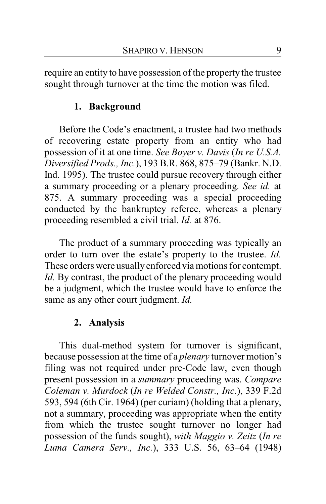require an entity to have possession of the property the trustee sought through turnover at the time the motion was filed.

# **1. Background**

Before the Code's enactment, a trustee had two methods of recovering estate property from an entity who had possession of it at one time. *See Boyer v. Davis* (*In re U.S.A. Diversified Prods., Inc.*), 193 B.R. 868, 875–79 (Bankr. N.D. Ind. 1995). The trustee could pursue recovery through either a summary proceeding or a plenary proceeding. *See id.* at 875. A summary proceeding was a special proceeding conducted by the bankruptcy referee, whereas a plenary proceeding resembled a civil trial. *Id.* at 876.

The product of a summary proceeding was typically an order to turn over the estate's property to the trustee. *Id.* These orders were usually enforced via motions for contempt. *Id.* By contrast, the product of the plenary proceeding would be a judgment, which the trustee would have to enforce the same as any other court judgment. *Id.*

# **2. Analysis**

This dual-method system for turnover is significant, because possession at the time of a *plenary* turnover motion's filing was not required under pre-Code law, even though present possession in a *summary* proceeding was. *Compare Coleman v. Murdock* (*In re Welded Constr., Inc.*), 339 F.2d 593, 594 (6th Cir. 1964) (per curiam) (holding that a plenary, not a summary, proceeding was appropriate when the entity from which the trustee sought turnover no longer had possession of the funds sought), *with Maggio v. Zeitz* (*In re Luma Camera Serv., Inc.*), 333 U.S. 56, 63–64 (1948)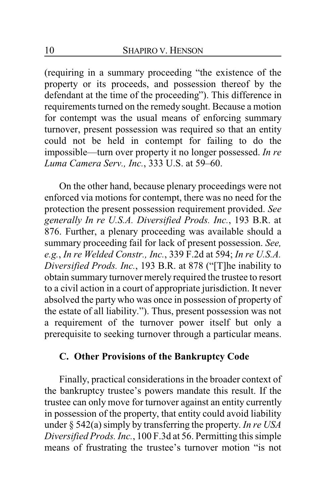(requiring in a summary proceeding "the existence of the property or its proceeds, and possession thereof by the defendant at the time of the proceeding"). This difference in requirements turned on the remedy sought. Because a motion for contempt was the usual means of enforcing summary turnover, present possession was required so that an entity could not be held in contempt for failing to do the impossible—turn over property it no longer possessed. *In re Luma Camera Serv., Inc.*, 333 U.S. at 59–60.

On the other hand, because plenary proceedings were not enforced via motions for contempt, there was no need for the protection the present possession requirement provided. *See generally In re U.S.A. Diversified Prods. Inc.*, 193 B.R. at 876. Further, a plenary proceeding was available should a summary proceeding fail for lack of present possession. *See, e.g.*, *In re Welded Constr., Inc.*, 339 F.2d at 594; *In re U.S.A. Diversified Prods. Inc.*, 193 B.R. at 878 ("[T]he inability to obtain summary turnover merely required the trustee to resort to a civil action in a court of appropriate jurisdiction. It never absolved the party who was once in possession of property of the estate of all liability."). Thus, present possession was not a requirement of the turnover power itself but only a prerequisite to seeking turnover through a particular means.

# **C. Other Provisions of the Bankruptcy Code**

Finally, practical considerations in the broader context of the bankruptcy trustee's powers mandate this result. If the trustee can only move for turnover against an entity currently in possession of the property, that entity could avoid liability under § 542(a) simply by transferring the property. *In re USA Diversified Prods. Inc.*, 100 F.3d at 56. Permitting this simple means of frustrating the trustee's turnover motion "is not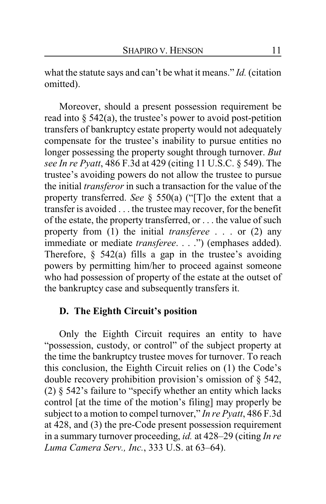what the statute says and can't be what it means." *Id.* (citation omitted).

Moreover, should a present possession requirement be read into  $\S$  542(a), the trustee's power to avoid post-petition transfers of bankruptcy estate property would not adequately compensate for the trustee's inability to pursue entities no longer possessing the property sought through turnover. *But see In re Pyatt*, 486 F.3d at 429 (citing 11 U.S.C. § 549). The trustee's avoiding powers do not allow the trustee to pursue the initial *transferor* in such a transaction for the value of the property transferred. *See* § 550(a) ("[T]o the extent that a transfer is avoided . . . the trustee may recover, for the benefit of the estate, the property transferred, or . . . the value of such property from (1) the initial *transferee* . . . or (2) any immediate or mediate *transferee*. . . .") (emphases added). Therefore,  $\S$  542(a) fills a gap in the trustee's avoiding powers by permitting him/her to proceed against someone who had possession of property of the estate at the outset of the bankruptcy case and subsequently transfers it.

# **D. The Eighth Circuit's position**

Only the Eighth Circuit requires an entity to have "possession, custody, or control" of the subject property at the time the bankruptcy trustee moves for turnover. To reach this conclusion, the Eighth Circuit relies on (1) the Code's double recovery prohibition provision's omission of § 542, (2) § 542's failure to "specify whether an entity which lacks control [at the time of the motion's filing] may properly be subject to a motion to compel turnover," *In re Pyatt*, 486 F.3d at 428, and (3) the pre-Code present possession requirement in a summary turnover proceeding, *id.* at 428–29 (citing *In re Luma Camera Serv., Inc.*, 333 U.S. at 63–64).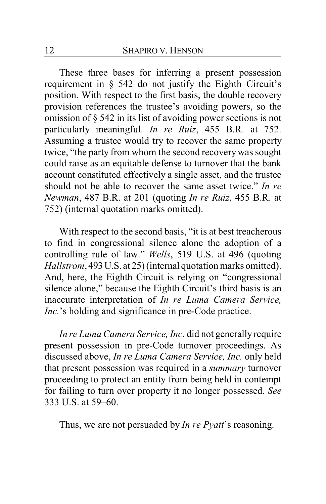These three bases for inferring a present possession requirement in § 542 do not justify the Eighth Circuit's position. With respect to the first basis, the double recovery provision references the trustee's avoiding powers, so the omission of § 542 in its list of avoiding power sections is not particularly meaningful. *In re Ruiz*, 455 B.R. at 752. Assuming a trustee would try to recover the same property twice, "the party from whom the second recovery was sought could raise as an equitable defense to turnover that the bank account constituted effectively a single asset, and the trustee should not be able to recover the same asset twice." *In re Newman*, 487 B.R. at 201 (quoting *In re Ruiz*, 455 B.R. at 752) (internal quotation marks omitted).

With respect to the second basis, "it is at best treacherous to find in congressional silence alone the adoption of a controlling rule of law." *Wells*, 519 U.S. at 496 (quoting *Hallstrom*, 493U.S. at 25) (internal quotation marks omitted). And, here, the Eighth Circuit is relying on "congressional silence alone," because the Eighth Circuit's third basis is an inaccurate interpretation of *In re Luma Camera Service, Inc.*'s holding and significance in pre-Code practice.

*In re Luma Camera Service, Inc.* did not generally require present possession in pre-Code turnover proceedings. As discussed above, *In re Luma Camera Service, Inc.* only held that present possession was required in a *summary* turnover proceeding to protect an entity from being held in contempt for failing to turn over property it no longer possessed. *See* 333 U.S. at 59–60.

Thus, we are not persuaded by *In re Pyatt*'s reasoning.